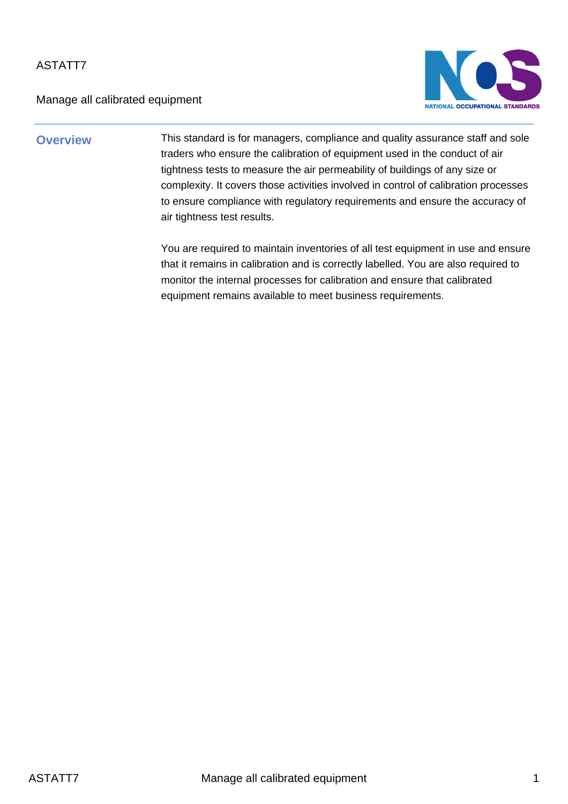Manage all calibrated equipment



**Overview** This standard is for managers, compliance and quality assurance staff and sole traders who ensure the calibration of equipment used in the conduct of air tightness tests to measure the air permeability of buildings of any size or complexity. It covers those activities involved in control of calibration processes to ensure compliance with regulatory requirements and ensure the accuracy of air tightness test results.

> You are required to maintain inventories of all test equipment in use and ensure that it remains in calibration and is correctly labelled. You are also required to monitor the internal processes for calibration and ensure that calibrated equipment remains available to meet business requirements.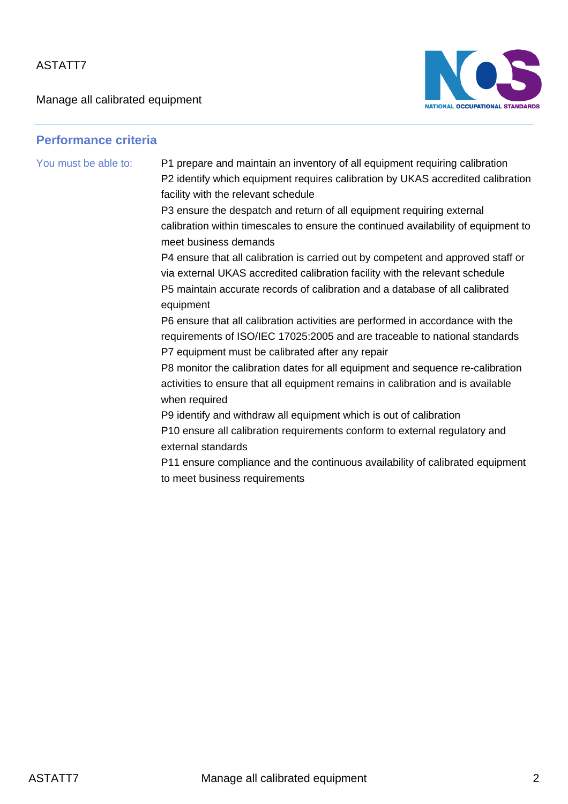Manage all calibrated equipment



#### **Performance criteria**

You must be able to: P1 prepare and maintain an inventory of all equipment requiring calibration P2 identify which equipment requires calibration by UKAS accredited calibration facility with the relevant schedule

> P3 ensure the despatch and return of all equipment requiring external calibration within timescales to ensure the continued availability of equipment to meet business demands

P4 ensure that all calibration is carried out by competent and approved staff or via external UKAS accredited calibration facility with the relevant schedule P5 maintain accurate records of calibration and a database of all calibrated equipment

P6 ensure that all calibration activities are performed in accordance with the requirements of ISO/IEC 17025:2005 and are traceable to national standards P7 equipment must be calibrated after any repair

P8 monitor the calibration dates for all equipment and sequence re-calibration activities to ensure that all equipment remains in calibration and is available when required

P9 identify and withdraw all equipment which is out of calibration

P10 ensure all calibration requirements conform to external regulatory and external standards

P11 ensure compliance and the continuous availability of calibrated equipment to meet business requirements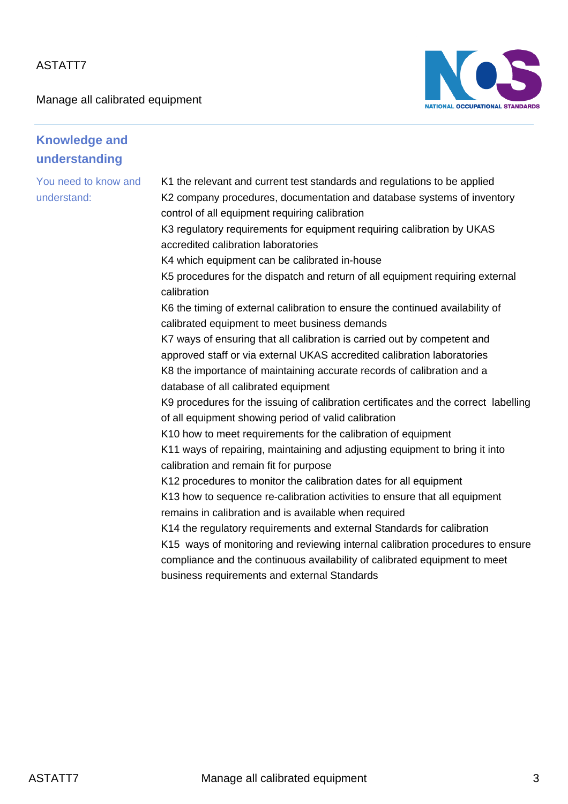Manage all calibrated equipment



| <b>Knowledge and</b><br>understanding |                                                                                                                                                                                                                                                                                |
|---------------------------------------|--------------------------------------------------------------------------------------------------------------------------------------------------------------------------------------------------------------------------------------------------------------------------------|
| You need to know and<br>understand:   | K1 the relevant and current test standards and regulations to be applied<br>K2 company procedures, documentation and database systems of inventory<br>control of all equipment requiring calibration<br>K3 regulatory requirements for equipment requiring calibration by UKAS |
|                                       | accredited calibration laboratories                                                                                                                                                                                                                                            |
|                                       | K4 which equipment can be calibrated in-house                                                                                                                                                                                                                                  |
|                                       | K5 procedures for the dispatch and return of all equipment requiring external<br>calibration                                                                                                                                                                                   |
|                                       | K6 the timing of external calibration to ensure the continued availability of                                                                                                                                                                                                  |
|                                       | calibrated equipment to meet business demands                                                                                                                                                                                                                                  |
|                                       | K7 ways of ensuring that all calibration is carried out by competent and                                                                                                                                                                                                       |
|                                       | approved staff or via external UKAS accredited calibration laboratories                                                                                                                                                                                                        |
|                                       | K8 the importance of maintaining accurate records of calibration and a<br>database of all calibrated equipment                                                                                                                                                                 |
|                                       | K9 procedures for the issuing of calibration certificates and the correct labelling                                                                                                                                                                                            |
|                                       | of all equipment showing period of valid calibration                                                                                                                                                                                                                           |
|                                       | K10 how to meet requirements for the calibration of equipment                                                                                                                                                                                                                  |
|                                       | K11 ways of repairing, maintaining and adjusting equipment to bring it into                                                                                                                                                                                                    |
|                                       | calibration and remain fit for purpose                                                                                                                                                                                                                                         |
|                                       | K12 procedures to monitor the calibration dates for all equipment                                                                                                                                                                                                              |
|                                       | K13 how to sequence re-calibration activities to ensure that all equipment                                                                                                                                                                                                     |
|                                       | remains in calibration and is available when required                                                                                                                                                                                                                          |
|                                       | K14 the regulatory requirements and external Standards for calibration                                                                                                                                                                                                         |
|                                       | K15 ways of monitoring and reviewing internal calibration procedures to ensure                                                                                                                                                                                                 |
|                                       | compliance and the continuous availability of calibrated equipment to meet                                                                                                                                                                                                     |
|                                       | business requirements and external Standards                                                                                                                                                                                                                                   |
|                                       |                                                                                                                                                                                                                                                                                |